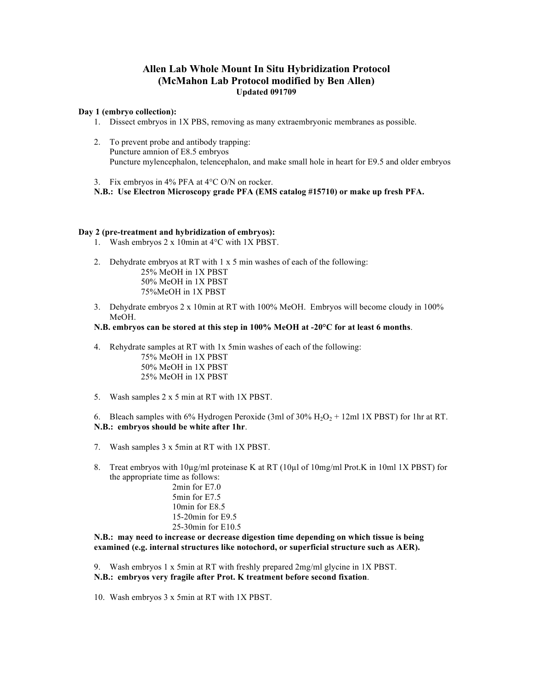# **Allen Lab Whole Mount In Situ Hybridization Protocol (McMahon Lab Protocol modified by Ben Allen) Updated 091709**

### **Day 1 (embryo collection):**

- 1. Dissect embryos in 1X PBS, removing as many extraembryonic membranes as possible.
- 2. To prevent probe and antibody trapping: Puncture amnion of E8.5 embryos Puncture mylencephalon, telencephalon, and make small hole in heart for E9.5 and older embryos
- 3. Fix embryos in 4% PFA at 4°C O/N on rocker.

**N.B.: Use Electron Microscopy grade PFA (EMS catalog #15710) or make up fresh PFA.**

# **Day 2 (pre-treatment and hybridization of embryos):**

- 1. Wash embryos 2 x 10min at 4°C with 1X PBST.
- 2. Dehydrate embryos at RT with 1 x 5 min washes of each of the following: 25% MeOH in 1X PBST 50% MeOH in 1X PBST 75%MeOH in 1X PBST
- 3. Dehydrate embryos 2 x 10min at RT with 100% MeOH. Embryos will become cloudy in 100% MeOH.

# **N.B. embryos can be stored at this step in 100% MeOH at -20°C for at least 6 months**.

4. Rehydrate samples at RT with 1x 5min washes of each of the following:

75% MeOH in 1X PBST 50% MeOH in 1X PBST 25% MeOH in 1X PBST

5. Wash samples 2 x 5 min at RT with 1X PBST.

6. Bleach samples with 6% Hydrogen Peroxide (3ml of  $30\%$  H<sub>2</sub>O<sub>2</sub> + 12ml 1X PBST) for 1hr at RT. **N.B.: embryos should be white after 1hr**.

- 7. Wash samples 3 x 5min at RT with 1X PBST.
- 8. Treat embryos with 10µg/ml proteinase K at RT (10µl of 10mg/ml Prot.K in 10ml 1X PBST) for the appropriate time as follows:

2min for E7.0 5min for E7.5 10min for E8.5 15-20min for E9.5 25-30min for E10.5

**N.B.: may need to increase or decrease digestion time depending on which tissue is being examined (e.g. internal structures like notochord, or superficial structure such as AER).**

9. Wash embryos 1 x 5min at RT with freshly prepared 2mg/ml glycine in 1X PBST. **N.B.: embryos very fragile after Prot. K treatment before second fixation**.

10. Wash embryos 3 x 5min at RT with 1X PBST.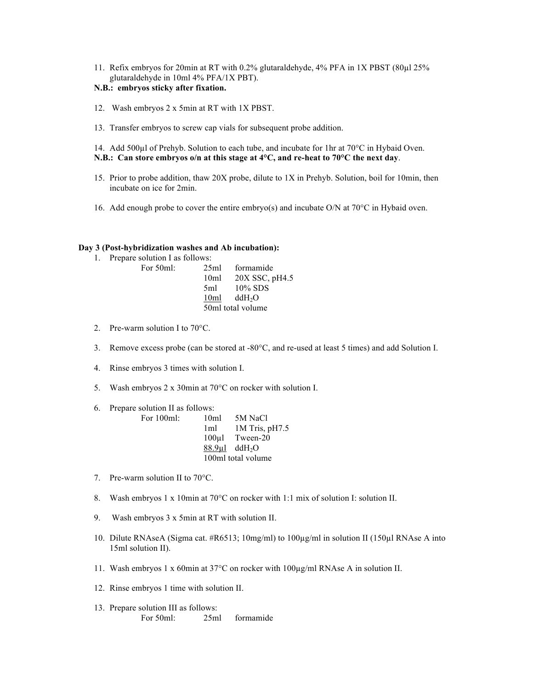11. Refix embryos for 20min at RT with 0.2% glutaraldehyde, 4% PFA in 1X PBST (80µl 25% glutaraldehyde in 10ml 4% PFA/1X PBT).

# **N.B.: embryos sticky after fixation.**

- 12. Wash embryos 2 x 5min at RT with 1X PBST.
- 13. Transfer embryos to screw cap vials for subsequent probe addition.
- 14. Add 500µl of Prehyb. Solution to each tube, and incubate for 1hr at 70°C in Hybaid Oven. **N.B.: Can store embryos o/n at this stage at 4°C, and re-heat to 70°C the next day**.
- 15. Prior to probe addition, thaw 20X probe, dilute to 1X in Prehyb. Solution, boil for 10min, then incubate on ice for 2min.
- 16. Add enough probe to cover the entire embryo(s) and incubate O/N at 70°C in Hybaid oven.

### **Day 3 (Post-hybridization washes and Ab incubation):**

1. Prepare solution I as follows: For 50ml:

| 25ml              | formamide          |  |
|-------------------|--------------------|--|
| 10 <sub>ml</sub>  | 20X SSC, pH4.5     |  |
| 5ml               | $10\%$ SDS         |  |
| 10ml              | ddH <sub>2</sub> O |  |
| 50ml total volume |                    |  |

- 2. Pre-warm solution I to 70°C.
- 3. Remove excess probe (can be stored at -80°C, and re-used at least 5 times) and add Solution I.
- 4. Rinse embryos 3 times with solution I.
- 5. Wash embryos 2 x 30min at 70°C on rocker with solution I.

6. Prepare solution II as follows:

| For 100ml: | 10 <sub>ml</sub> | 5M NaCl                        |
|------------|------------------|--------------------------------|
|            | 1 <sub>m1</sub>  | 1M Tris, pH7.5                 |
|            |                  | 100ul Tween-20                 |
|            |                  | $88.9\mu$ l ddH <sub>2</sub> O |
|            |                  | 100ml total volume             |

- 7. Pre-warm solution II to 70°C.
- 8. Wash embryos 1 x 10min at 70°C on rocker with 1:1 mix of solution I: solution II.
- 9. Wash embryos 3 x 5min at RT with solution II.
- 10. Dilute RNAseA (Sigma cat. #R6513; 10mg/ml) to 100µg/ml in solution II (150µl RNAse A into 15ml solution II).
- 11. Wash embryos 1 x 60min at 37°C on rocker with 100µg/ml RNAse A in solution II.
- 12. Rinse embryos 1 time with solution II.
- 13. Prepare solution III as follows: For 50ml: 25ml formamide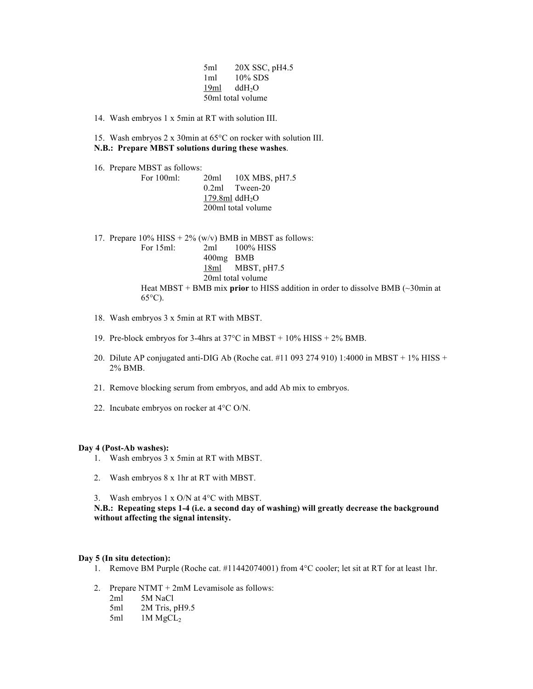| 5ml               | 20X SSC, pH4.5            |  |
|-------------------|---------------------------|--|
| 1ml               | 10% SDS                   |  |
|                   | $19ml$ ddH <sub>2</sub> O |  |
| 50ml total volume |                           |  |

14. Wash embryos 1 x 5min at RT with solution III.

15. Wash embryos 2 x 30min at 65°C on rocker with solution III. **N.B.: Prepare MBST solutions during these washes**.

16. Prepare MBST as follows:

For 100ml: 20ml 10X MBS, pH7.5 0.2ml Tween-20 179.8ml  $ddH<sub>2</sub>O$ 200ml total volume

17. Prepare  $10\%$  HISS +  $2\%$  (w/v) BMB in MBST as follows: For 15ml: 2ml 100% HISS 400mg BMB 18ml MBST, pH7.5 20ml total volume Heat MBST + BMB mix **prior** to HISS addition in order to dissolve BMB (~30min at

18. Wash embryos 3 x 5min at RT with MBST.

 $65^{\circ}$ C).

- 19. Pre-block embryos for 3-4hrs at 37°C in MBST + 10% HISS + 2% BMB.
- 20. Dilute AP conjugated anti-DIG Ab (Roche cat. #11 093 274 910) 1:4000 in MBST + 1% HISS + 2% BMB.
- 21. Remove blocking serum from embryos, and add Ab mix to embryos.
- 22. Incubate embryos on rocker at 4°C O/N.

### **Day 4 (Post-Ab washes):**

- 1. Wash embryos 3 x 5min at RT with MBST.
- 2. Wash embryos 8 x 1hr at RT with MBST.
- 3. Wash embryos 1 x O/N at 4°C with MBST.

**N.B.: Repeating steps 1-4 (i.e. a second day of washing) will greatly decrease the background without affecting the signal intensity.**

#### **Day 5 (In situ detection):**

- 1. Remove BM Purple (Roche cat. #11442074001) from 4°C cooler; let sit at RT for at least 1hr.
- 2. Prepare NTMT + 2mM Levamisole as follows:
	- 2ml 5M NaCl
	- 5ml 2M Tris, pH9.5
	- 5ml 1M MgCL<sub>2</sub>